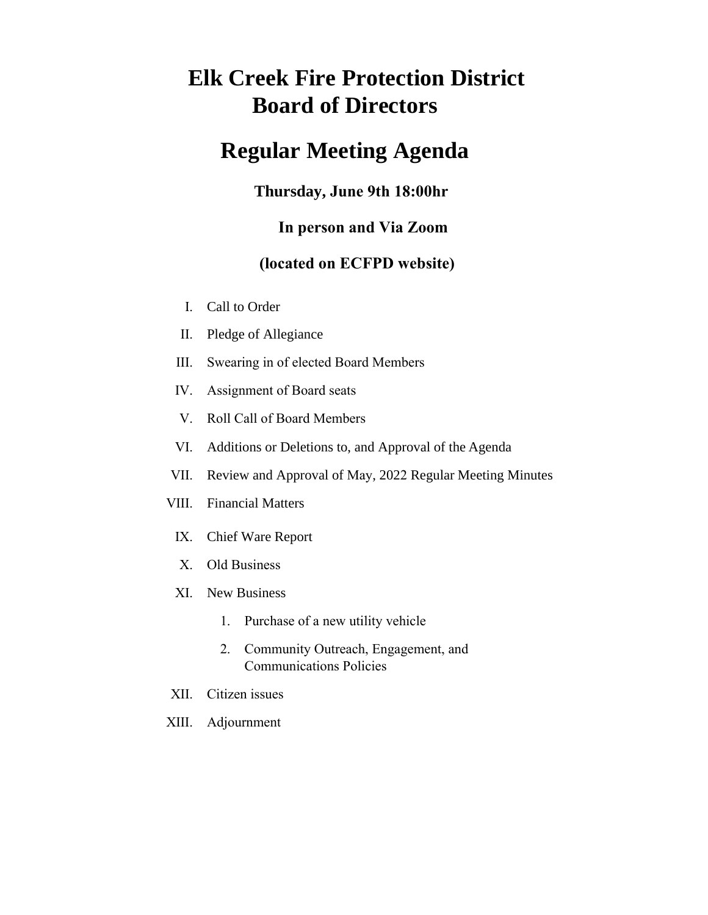# **Elk Creek Fire Protection District Board of Directors**

# **Regular Meeting Agenda**

## **Thursday, June 9th 18:00hr**

## **In person and Via Zoom**

## **(located on ECFPD website)**

- I. Call to Order
- II. Pledge of Allegiance
- III. Swearing in of elected Board Members
- IV. Assignment of Board seats
- V. Roll Call of Board Members
- VI. Additions or Deletions to, and Approval of the Agenda
- VII. Review and Approval of May, 2022 Regular Meeting Minutes
- VIII. Financial Matters
	- IX. Chief Ware Report
	- X. Old Business
	- XI. New Business
		- 1. Purchase of a new utility vehicle
		- 2. Community Outreach, Engagement, and Communications Policies
- XII. Citizen issues
- XIII. Adjournment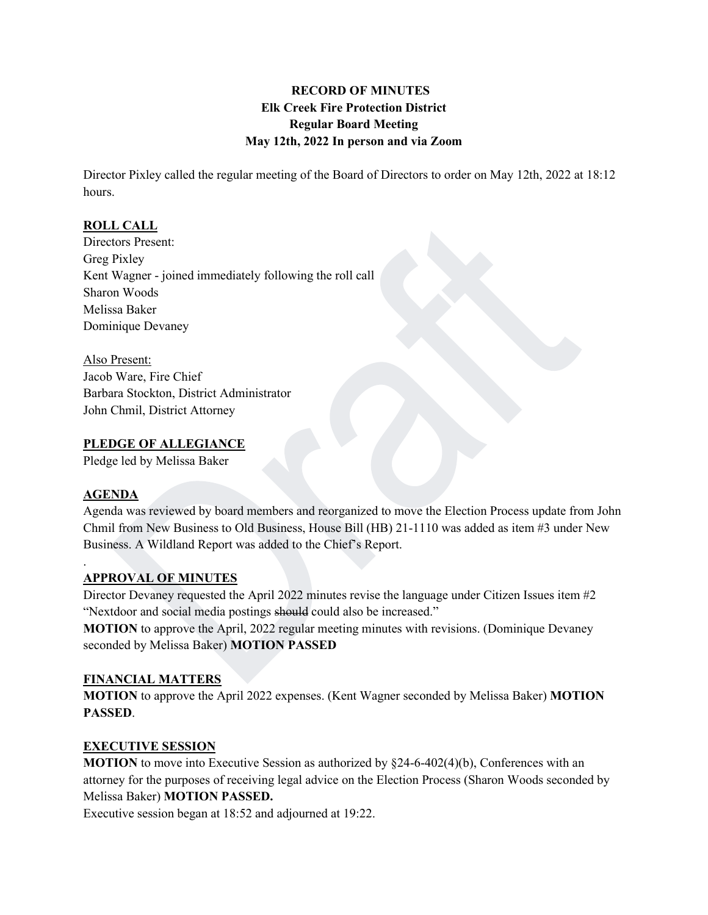### **RECORD OF MINUTES Elk Creek Fire Protection District Regular Board Meeting May 12th, 2022 In person and via Zoom**

Director Pixley called the regular meeting of the Board of Directors to order on May 12th, 2022 at 18:12 hours.

### **ROLL CALL**

Directors Present: Greg Pixley Kent Wagner - joined immediately following the roll call Sharon Woods Melissa Baker Dominique Devaney

Also Present: Jacob Ware, Fire Chief Barbara Stockton, District Administrator John Chmil, District Attorney

#### **PLEDGE OF ALLEGIANCE**

Pledge led by Melissa Baker

#### **AGENDA**

.

Agenda was reviewed by board members and reorganized to move the Election Process update from John Chmil from New Business to Old Business, House Bill (HB) 21-1110 was added as item #3 under New Business. A Wildland Report was added to the Chief's Report.

### **APPROVAL OF MINUTES**

Director Devaney requested the April 2022 minutes revise the language under Citizen Issues item #2 "Nextdoor and social media postings should could also be increased."

**MOTION** to approve the April, 2022 regular meeting minutes with revisions. (Dominique Devaney seconded by Melissa Baker) **MOTION PASSED**

#### **FINANCIAL MATTERS**

**MOTION** to approve the April 2022 expenses. (Kent Wagner seconded by Melissa Baker) **MOTION PASSED**.

### **EXECUTIVE SESSION**

**MOTION** to move into Executive Session as authorized by §24-6-402(4)(b), Conferences with an attorney for the purposes of receiving legal advice on the Election Process (Sharon Woods seconded by Melissa Baker) **MOTION PASSED.** 

Executive session began at 18:52 and adjourned at 19:22.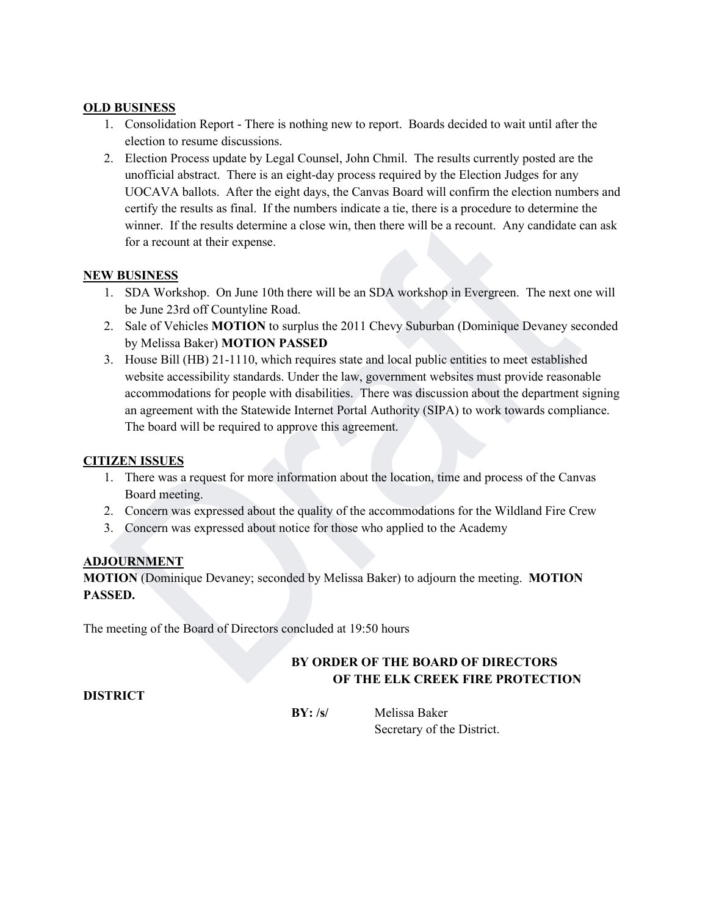#### **OLD BUSINESS**

- 1. Consolidation Report There is nothing new to report. Boards decided to wait until after the election to resume discussions.
- 2. Election Process update by Legal Counsel, John Chmil. The results currently posted are the unofficial abstract. There is an eight-day process required by the Election Judges for any UOCAVA ballots. After the eight days, the Canvas Board will confirm the election numbers and certify the results as final. If the numbers indicate a tie, there is a procedure to determine the winner. If the results determine a close win, then there will be a recount. Any candidate can ask for a recount at their expense.

### **NEW BUSINESS**

- 1. SDA Workshop. On June 10th there will be an SDA workshop in Evergreen. The next one will be June 23rd off Countyline Road.
- 2. Sale of Vehicles **MOTION** to surplus the 2011 Chevy Suburban (Dominique Devaney seconded by Melissa Baker) **MOTION PASSED**
- 3. House Bill (HB) 21-1110, which requires state and local public entities to meet established website accessibility standards. Under the law, government websites must provide reasonable accommodations for people with disabilities. There was discussion about the department signing an agreement with the Statewide [Internet Portal Authority](https://sipa.colorado.gov/) (SIPA) to work towards compliance. The board will be required to approve this agreement.

### **CITIZEN ISSUES**

- 1. There was a request for more information about the location, time and process of the Canvas Board meeting.
- 2. Concern was expressed about the quality of the accommodations for the Wildland Fire Crew
- 3. Concern was expressed about notice for those who applied to the Academy

#### **ADJOURNMENT**

**MOTION** (Dominique Devaney; seconded by Melissa Baker) to adjourn the meeting. **MOTION PASSED.**

The meeting of the Board of Directors concluded at 19:50 hours

## **BY ORDER OF THE BOARD OF DIRECTORS OF THE ELK CREEK FIRE PROTECTION**

**DISTRICT**

**BY: /s/** Melissa Baker Secretary of the District.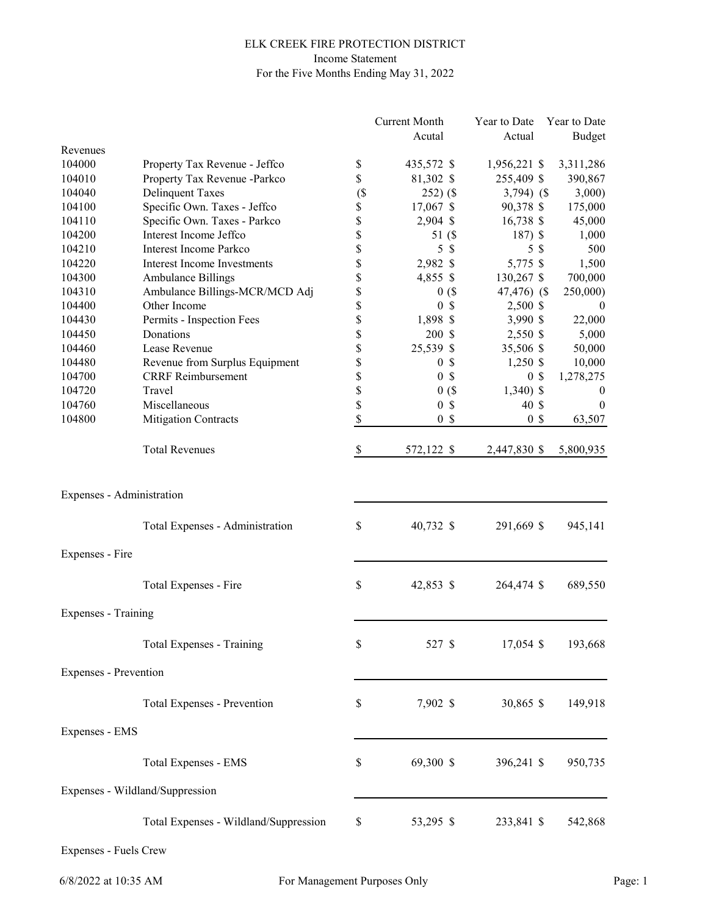#### ELK CREEK FIRE PROTECTION DISTRICT Income Statement For the Five Months Ending May 31, 2022

|                              |                                       |        | <b>Current Month</b> |                           | Year to Date |                | Year to Date     |
|------------------------------|---------------------------------------|--------|----------------------|---------------------------|--------------|----------------|------------------|
|                              |                                       |        | Acutal               |                           | Actual       |                | Budget           |
| Revenues                     |                                       |        |                      |                           |              |                |                  |
| 104000                       | Property Tax Revenue - Jeffco         | \$     | 435,572 \$           |                           | 1,956,221 \$ |                | 3,311,286        |
| 104010                       | Property Tax Revenue -Parkco          | \$     | 81,302 \$            |                           | 255,409 \$   |                | 390,867          |
| 104040                       | <b>Delinquent Taxes</b>               | $($ \$ | $252)$ (\$           |                           | $3,794)$ (\$ |                | 3,000            |
| 104100                       | Specific Own. Taxes - Jeffco          | \$     | 17,067 \$            |                           | 90,378 \$    |                | 175,000          |
| 104110                       | Specific Own. Taxes - Parkco          | \$     | 2,904 \$             |                           | 16,738 \$    |                | 45,000           |
| 104200                       | Interest Income Jeffco                | \$     | 51 (\$               |                           | $187)$ \$    |                | 1,000            |
| 104210                       | Interest Income Parkco                | \$     | 5                    | <sup>\$</sup>             |              | 5\$            | 500              |
| 104220                       | Interest Income Investments           | \$     | 2,982 \$             |                           | 5,775 \$     |                | 1,500            |
| 104300                       | <b>Ambulance Billings</b>             | \$     | 4,855 \$             |                           | 130,267 \$   |                | 700,000          |
| 104310                       | Ambulance Billings-MCR/MCD Adj        | \$     |                      | 0(                        | 47,476) (\$  |                | 250,000)         |
| 104400                       | Other Income                          | \$     | $\mathbf{0}$         | $\mathcal{S}$             | 2,500 \$     |                | $\theta$         |
| 104430                       | Permits - Inspection Fees             | \$     | 1,898 \$             |                           | 3,990 \$     |                | 22,000           |
| 104450                       | Donations                             | \$     | $200 \text{ }$ \$    |                           | 2,550 \$     |                | 5,000            |
| 104460                       | Lease Revenue                         | \$     | 25,539 \$            |                           | 35,506 \$    |                | 50,000           |
| 104480                       | Revenue from Surplus Equipment        | \$     | $\boldsymbol{0}$     | $\boldsymbol{\mathsf{S}}$ | $1,250$ \$   |                | 10,000           |
| 104700                       | <b>CRRF</b> Reimbursement             | \$     | $\boldsymbol{0}$     | $\mathcal{S}$             |              | 0 <sup>3</sup> | 1,278,275        |
| 104720                       | Travel                                | \$     |                      | 0(                        | $1,340$ \$   |                | $\boldsymbol{0}$ |
| 104760                       | Miscellaneous                         | \$     |                      | 0 <sup>5</sup>            | 40 \$        |                | $\overline{0}$   |
| 104800                       | <b>Mitigation Contracts</b>           | \$     |                      | 0 <sup>5</sup>            |              | 0 <sup>3</sup> | 63,507           |
|                              |                                       |        |                      |                           |              |                |                  |
|                              | <b>Total Revenues</b>                 | \$     | 572,122 \$           |                           | 2,447,830 \$ |                | 5,800,935        |
| Expenses - Administration    |                                       |        |                      |                           |              |                |                  |
|                              | Total Expenses - Administration       | \$     | 40,732 \$            |                           | 291,669 \$   |                | 945,141          |
| Expenses - Fire              |                                       |        |                      |                           |              |                |                  |
|                              | Total Expenses - Fire                 | \$     | 42,853 \$            |                           | 264,474 \$   |                | 689,550          |
| Expenses - Training          |                                       |        |                      |                           |              |                |                  |
|                              | Total Expenses - Training             | \$     | 527 \$               |                           | 17,054 \$    |                | 193,668          |
| <b>Expenses - Prevention</b> |                                       |        |                      |                           |              |                |                  |
|                              | Total Expenses - Prevention           | \$     | 7,902 \$             |                           | 30,865 \$    |                | 149,918          |
| Expenses - EMS               |                                       |        |                      |                           |              |                |                  |
|                              |                                       |        |                      |                           |              |                |                  |
|                              | <b>Total Expenses - EMS</b>           | \$     | 69,300 \$            |                           | 396,241 \$   |                | 950,735          |
|                              | Expenses - Wildland/Suppression       |        |                      |                           |              |                |                  |
|                              | Total Expenses - Wildland/Suppression | \$     | 53,295 \$            |                           | 233,841 \$   |                | 542,868          |

Expenses - Fuels Crew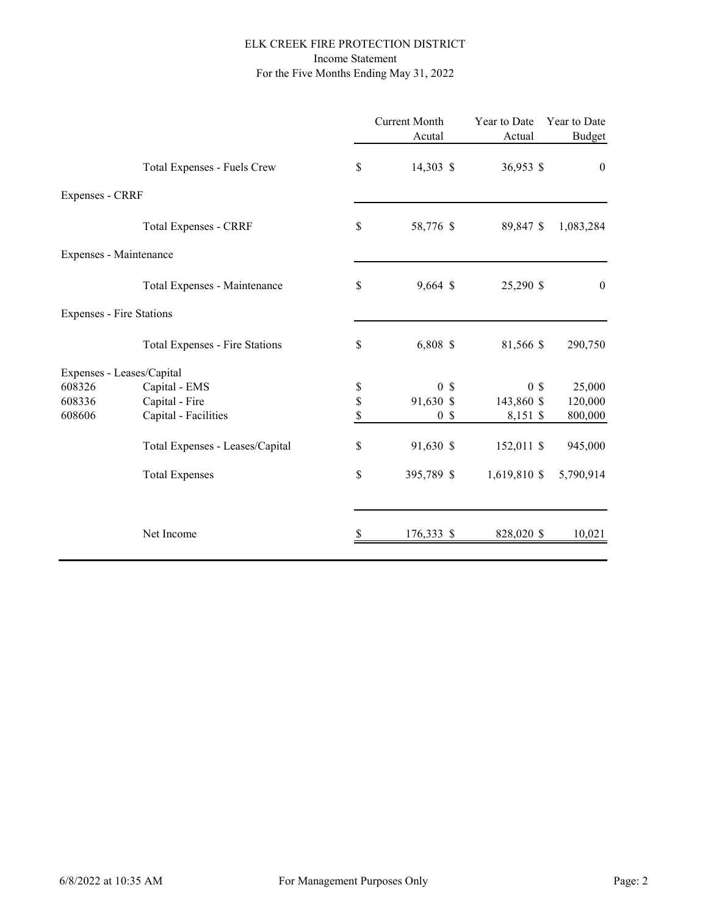#### ELK CREEK FIRE PROTECTION DISTRICT Income Statement For the Five Months Ending May 31, 2022

|                           |                                 |      | <b>Current Month</b><br>Acutal | Year to Date<br>Actual | Year to Date<br><b>Budget</b> |
|---------------------------|---------------------------------|------|--------------------------------|------------------------|-------------------------------|
|                           | Total Expenses - Fuels Crew     | \$   | 14,303 \$                      | 36,953 \$              | $\boldsymbol{0}$              |
| Expenses - CRRF           |                                 |      |                                |                        |                               |
|                           | <b>Total Expenses - CRRF</b>    | \$   | 58,776 \$                      | 89,847 \$              | 1,083,284                     |
| Expenses - Maintenance    |                                 |      |                                |                        |                               |
|                           | Total Expenses - Maintenance    | \$   | 9,664 \$                       | 25,290 \$              | $\boldsymbol{0}$              |
| Expenses - Fire Stations  |                                 |      |                                |                        |                               |
|                           | Total Expenses - Fire Stations  | \$   | 6,808 \$                       | 81,566 \$              | 290,750                       |
| Expenses - Leases/Capital |                                 |      |                                |                        |                               |
| 608326                    | Capital - EMS                   | $\$$ | 0 <sup>8</sup>                 | 0 <sup>5</sup>         | 25,000                        |
| 608336                    | Capital - Fire                  | \$   | 91,630 \$                      | 143,860 \$             | 120,000                       |
| 608606                    | Capital - Facilities            | \$   | 0 <sup>5</sup>                 | 8,151 \$               | 800,000                       |
|                           | Total Expenses - Leases/Capital | \$   | 91,630 \$                      | 152,011 \$             | 945,000                       |
|                           | <b>Total Expenses</b>           | \$   | 395,789 \$                     | 1,619,810 \$           | 5,790,914                     |
|                           |                                 |      |                                |                        |                               |
|                           | Net Income                      |      | 176,333 \$                     | 828,020 \$             | 10,021                        |
|                           |                                 |      |                                |                        |                               |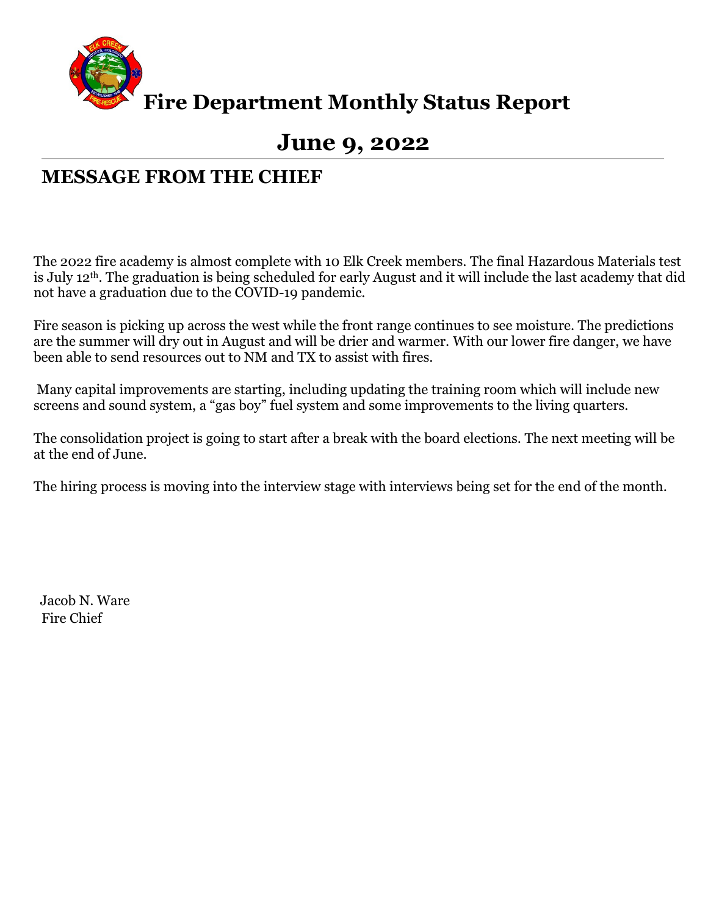

**Fire Department Monthly Status Report**

# **June 9, 2022**

## **MESSAGE FROM THE CHIEF**

The 2022 fire academy is almost complete with 10 Elk Creek members. The final Hazardous Materials test is July 12th. The graduation is being scheduled for early August and it will include the last academy that did not have a graduation due to the COVID-19 pandemic.

Fire season is picking up across the west while the front range continues to see moisture. The predictions are the summer will dry out in August and will be drier and warmer. With our lower fire danger, we have been able to send resources out to NM and TX to assist with fires.

Many capital improvements are starting, including updating the training room which will include new screens and sound system, a "gas boy" fuel system and some improvements to the living quarters.

The consolidation project is going to start after a break with the board elections. The next meeting will be at the end of June.

The hiring process is moving into the interview stage with interviews being set for the end of the month.

 Jacob N. Ware Fire Chief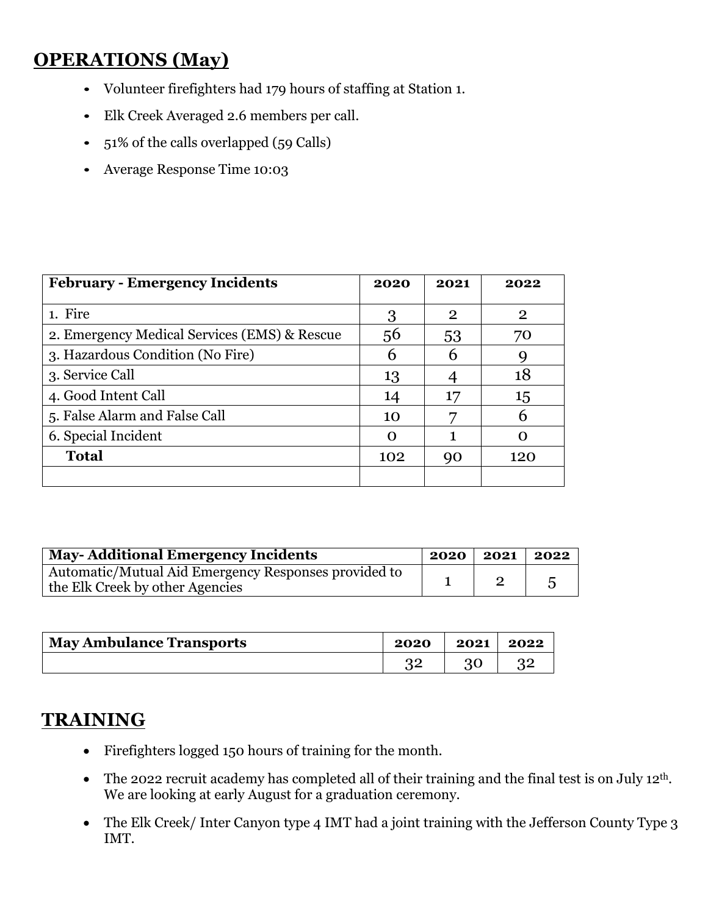# **OPERATIONS (May)**

- Volunteer firefighters had 179 hours of staffing at Station 1.
- Elk Creek Averaged 2.6 members per call.
- 51% of the calls overlapped (59 Calls)
- Average Response Time 10:03

| <b>February - Emergency Incidents</b>        | 2020 | 2021           | 2022           |
|----------------------------------------------|------|----------------|----------------|
| 1. Fire                                      | 3    | $\overline{2}$ | $\overline{2}$ |
| 2. Emergency Medical Services (EMS) & Rescue | 56   | 53             | 70             |
| 3. Hazardous Condition (No Fire)             | 6    | h              |                |
| 3. Service Call                              | 13   |                | 18             |
| 4. Good Intent Call                          | 14   | 17             | 15             |
| 5. False Alarm and False Call                | 10   |                | h              |
| 6. Special Incident                          | O    |                |                |
| <b>Total</b>                                 | 102  | 90             | 120            |
|                                              |      |                |                |

| <b>May-Additional Emergency Incidents</b>                                               | $2020$   2021   2022 |  |
|-----------------------------------------------------------------------------------------|----------------------|--|
| Automatic/Mutual Aid Emergency Responses provided to<br>the Elk Creek by other Agencies |                      |  |

| <b>May Ambulance Transports</b> | 2020 | 2021 | 2022 |
|---------------------------------|------|------|------|
|                                 | ററ   |      |      |

## **TRAINING**

- Firefighters logged 150 hours of training for the month.
- The 2022 recruit academy has completed all of their training and the final test is on July 12th. We are looking at early August for a graduation ceremony.
- The Elk Creek/ Inter Canyon type 4 IMT had a joint training with the Jefferson County Type 3 IMT.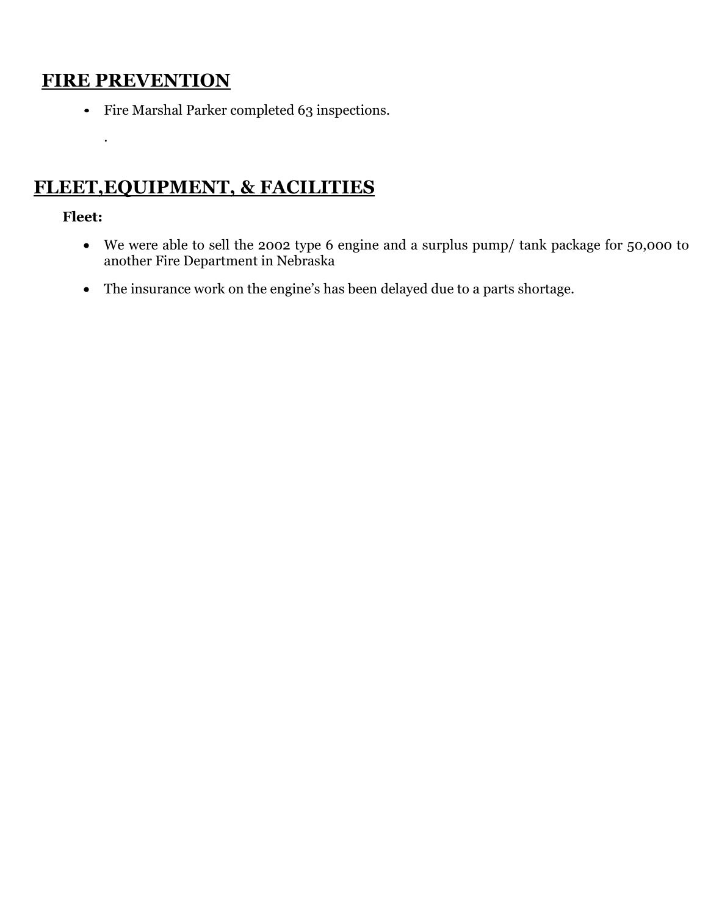## **FIRE PREVENTION**

• Fire Marshal Parker completed 63 inspections.

# **FLEET,EQUIPMENT, & FACILITIES**

## **Fleet:**

.

- We were able to sell the 2002 type 6 engine and a surplus pump/ tank package for 50,000 to another Fire Department in Nebraska
- The insurance work on the engine's has been delayed due to a parts shortage.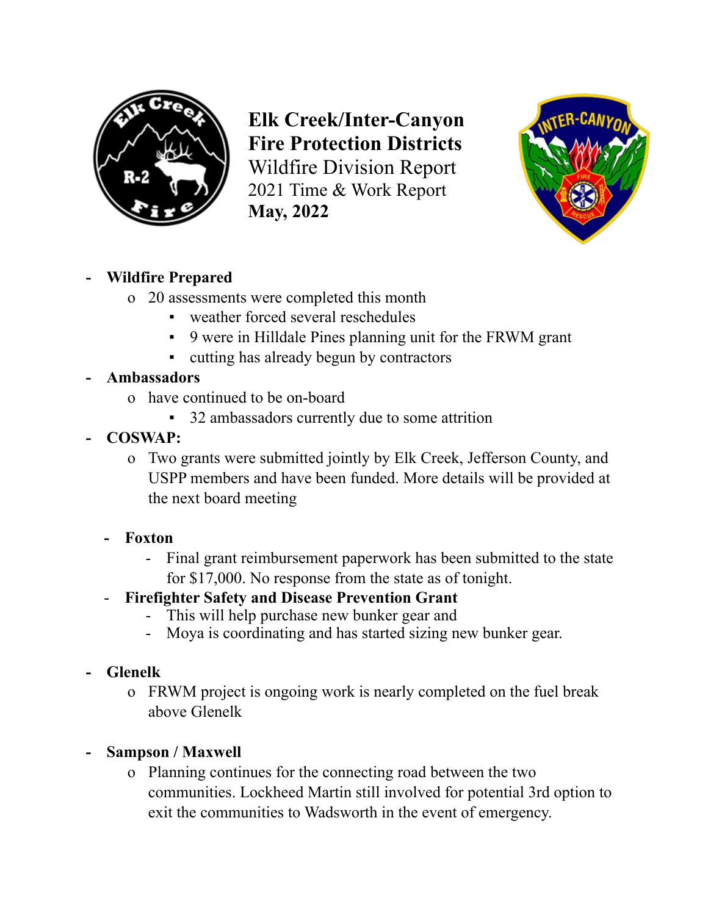

**Elk Creek/Inter-Canyon Fire Protection Districts** Wildfire Division Report 2021 Time & Work Report **May, 2022**



## **- Wildfire Prepared**

- o 20 assessments were completed this month
	- weather forced several reschedules
	- 9 were in Hilldale Pines planning unit for the FRWM grant
	- cutting has already begun by contractors
- **- Ambassadors**
	- o have continued to be on-board
		- 32 ambassadors currently due to some attrition
- **- COSWAP:**
	- o Two grants were submitted jointly by Elk Creek, Jefferson County, and USPP members and have been funded. More details will be provided at the next board meeting
	- **- Foxton**
		- Final grant reimbursement paperwork has been submitted to the state for \$17,000. No response from the state as of tonight.
	- **Firefighter Safety and Disease Prevention Grant**
		- This will help purchase new bunker gear and
		- Moya is coordinating and has started sizing new bunker gear.

## **- Glenelk**

- o FRWM project is ongoing work is nearly completed on the fuel break above Glenelk
- **- Sampson / Maxwell**
	- o Planning continues for the connecting road between the two communities. Lockheed Martin still involved for potential 3rd option to exit the communities to Wadsworth in the event of emergency.